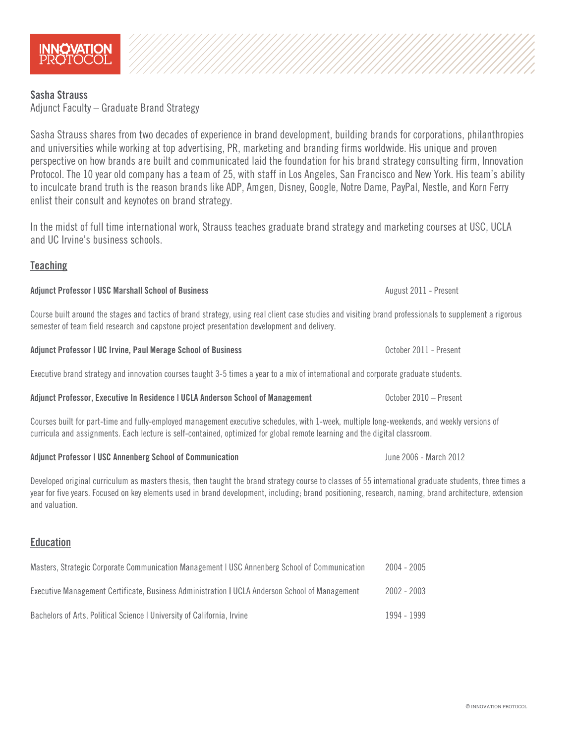# Sasha Strauss

Adjunct Faculty – Graduate Brand Strategy

Sasha Strauss shares from two decades of experience in brand development, building brands for corporations, philanthropies and universities while working at top advertising, PR, marketing and branding firms worldwide. His unique and proven perspective on how brands are built and communicated laid the foundation for his brand strategy consulting firm, Innovation Protocol. The 10 year old company has a team of 25, with staff in Los Angeles, San Francisco and New York. His team's ability to inculcate brand truth is the reason brands like ADP, Amgen, Disney, Google, Notre Dame, PayPal, Nestle, and Korn Ferry enlist their consult and keynotes on brand strategy.

In the midst of full time international work, Strauss teaches graduate brand strategy and marketing courses at USC, UCLA and UC Irvine's business schools.

# **Teaching**

Course built around the stages and tactics of brand strategy, using real client case studies and visiting brand professionals to supplement a rigorous semester of team field research and capstone project presentation development and delivery.

| Adjunct Professor   UC Irvine, Paul Merage School of Business | October 2011 - Present |
|---------------------------------------------------------------|------------------------|
|                                                               |                        |

Executive brand strategy and innovation courses taught 3-5 times a year to a mix of international and corporate graduate students.

## Adjunct Professor, Executive In Residence | UCLA Anderson School of Management Content Corporation Cotober 2010 – Present

Courses built for part-time and fully-employed management executive schedules, with 1-week, multiple long-weekends, and weekly versions of curricula and assignments. Each lecture is self-contained, optimized for global remote learning and the digital classroom.

Adjunct Professor | USC Annenberg School of Communication June 2006 - March 2012

Developed original curriculum as masters thesis, then taught the brand strategy course to classes of 55 international graduate students, three times a year for five years. Focused on key elements used in brand development, including; brand positioning, research, naming, brand architecture, extension and valuation.

# Education

| Masters, Strategic Corporate Communication Management   USC Annenberg School of Communication  | 2004 - 2005 |
|------------------------------------------------------------------------------------------------|-------------|
| Executive Management Certificate, Business Administration   UCLA Anderson School of Management | 2002 - 2003 |
| Bachelors of Arts, Political Science   University of California, Irvine                        | 1994 - 1999 |



Adjunct Professor | USC Marshall School of Business August 2011 - Present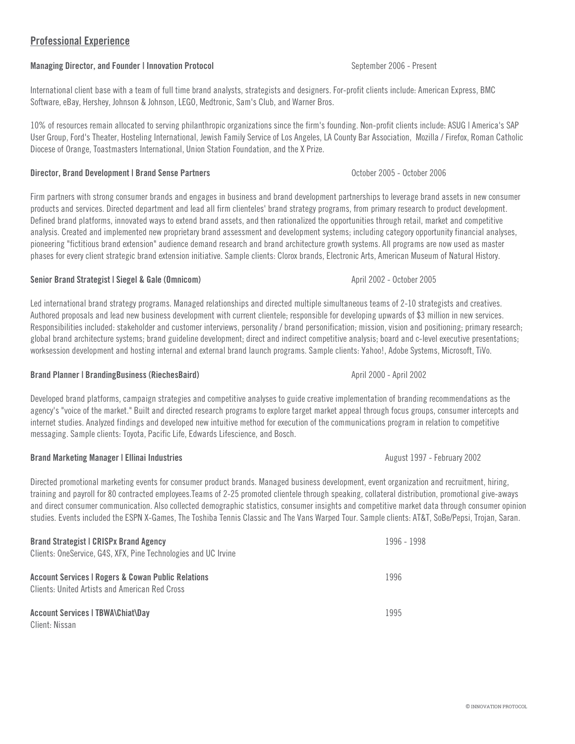# Professional Experience

## Managing Director, and Founder | Innovation Protocol September 2006 - Present

International client base with a team of full time brand analysts, strategists and designers. For-profit clients include: American Express, BMC Software, eBay, Hershey, Johnson & Johnson, LEGO, Medtronic, Sam's Club, and Warner Bros.

10% of resources remain allocated to serving philanthropic organizations since the firm's founding. Non-profit clients include: ASUG | America's SAP User Group, Ford's Theater, Hosteling International, Jewish Family Service of Los Angeles, LA County Bar Association, Mozilla / Firefox, Roman Catholic Diocese of Orange, Toastmasters International, Union Station Foundation, and the X Prize.

## Director, Brand Development | Brand Sense Partners October 2005 - October 2006

Firm partners with strong consumer brands and engages in business and brand development partnerships to leverage brand assets in new consumer products and services. Directed department and lead all firm clienteles' brand strategy programs, from primary research to product development. Defined brand platforms, innovated ways to extend brand assets, and then rationalized the opportunities through retail, market and competitive analysis. Created and implemented new proprietary brand assessment and development systems; including category opportunity financial analyses, pioneering "fictitious brand extension" audience demand research and brand architecture growth systems. All programs are now used as master phases for every client strategic brand extension initiative. Sample clients: Clorox brands, Electronic Arts, American Museum of Natural History.

## Senior Brand Strategist | Siegel & Gale (Omnicom) and April 2002 - October 2005

Led international brand strategy programs. Managed relationships and directed multiple simultaneous teams of 2-10 strategists and creatives. Authored proposals and lead new business development with current clientele; responsible for developing upwards of \$3 million in new services. Responsibilities included: stakeholder and customer interviews, personality / brand personification; mission, vision and positioning; primary research; global brand architecture systems; brand guideline development; direct and indirect competitive analysis; board and c-level executive presentations; worksession development and hosting internal and external brand launch programs. Sample clients: Yahoo!, Adobe Systems, Microsoft, TiVo.

## Brand Planner | BrandingBusiness (RiechesBaird) April 2002 - April 2002 - April 2002

Developed brand platforms, campaign strategies and competitive analyses to guide creative implementation of branding recommendations as the agency's "voice of the market." Built and directed research programs to explore target market appeal through focus groups, consumer intercepts and internet studies. Analyzed findings and developed new intuitive method for execution of the communications program in relation to competitive messaging. Sample clients: Toyota, Pacific Life, Edwards Lifescience, and Bosch.

## Brand Marketing Manager | Ellinai Industries August 1997 - February 2002

Directed promotional marketing events for consumer product brands. Managed business development, event organization and recruitment, hiring, training and payroll for 80 contracted employees.Teams of 2-25 promoted clientele through speaking, collateral distribution, promotional give-aways and direct consumer communication. Also collected demographic statistics, consumer insights and competitive market data through consumer opinion studies. Events included the ESPN X-Games, The Toshiba Tennis Classic and The Vans Warped Tour. Sample clients: AT&T, SoBe/Pepsi, Trojan, Saran.

| <b>Brand Strategist   CRISPx Brand Agency</b>                                                                   | 1996 - 1998 |
|-----------------------------------------------------------------------------------------------------------------|-------------|
| Clients: OneService, G4S, XFX, Pine Technologies and UC Irvine                                                  |             |
| <b>Account Services   Rogers &amp; Cowan Public Relations</b><br>Clients: United Artists and American Red Cross | 1996        |
| Account Services   TBWA\Chiat\Day<br>Client: Nissan                                                             | 1995        |